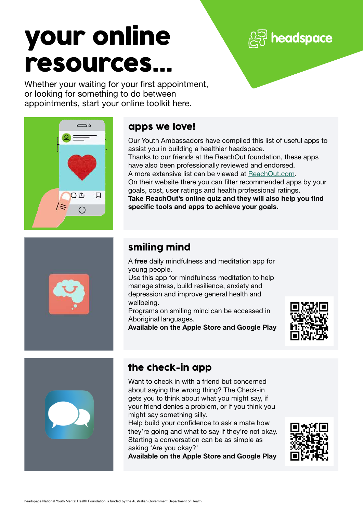# your online resources...

 $\mathbb{\overline{S}}$  headspace

Whether your waiting for your first appointment, or looking for something to do between appointments, start your online toolkit here.



#### apps we love!

Our Youth Ambassadors have compiled this list of useful apps to assist you in building a healthier headspace. Thanks to our friends at the ReachOut foundation, these apps have also been professionally reviewed and endorsed. A more extensive list can be viewed at [ReachOut.com.](http://www.reachout.com/) On their website there you can filter recommended apps by your goals, cost, user ratings and health professional ratings. Take ReachOut's online quiz and they will also help you find specific tools and apps to achieve your goals.

## smiling mind

A free daily mindfulness and meditation app for young people.

Use this app for mindfulness meditation to help manage stress, build resilience, anxiety and depression and improve general health and wellbeing.

Programs on smiling mind can be accessed in Aboriginal languages.

Available on the Apple Store and Google Play





## the check-in app

Want to check in with a friend but concerned about saying the wrong thing? The Check-in gets you to think about what you might say, if your friend denies a problem, or if you think you might say something silly.

Help build your confidence to ask a mate how they're going and what to say if they're not okay. Starting a conversation can be as simple as asking 'Are you okay?'

Available on the Apple Store and Google Play

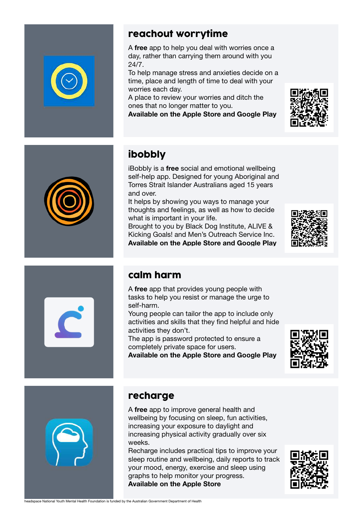

#### reachout worrytime

A free app to help you deal with worries once a day, rather than carrying them around with you 24/7.

To help manage stress and anxieties decide on a time, place and length of time to deal with your worries each day.

A place to review your worries and ditch the ones that no longer matter to you.

Available on the Apple Store and Google Play





# ibobbly

iBobbly is a free social and emotional wellbeing self-help app. Designed for young Aboriginal and Torres Strait Islander Australians aged 15 years and over.

It helps by showing you ways to manage your thoughts and feelings, as well as how to decide what is important in your life.

Brought to you by Black Dog Institute, ALIVE & Kicking Goals! and Men's Outreach Service Inc. Available on the Apple Store and Google Play





#### calm harm

A free app that provides young people with tasks to help you resist or manage the urge to self-harm.

Young people can tailor the app to include only activities and skills that they find helpful and hide activities they don't.

The app is password protected to ensure a completely private space for users.

Available on the Apple Store and Google Play





#### recharge

A free app to improve general health and wellbeing by focusing on sleep, fun activities, increasing your exposure to daylight and increasing physical activity gradually over six weeks.

Recharge includes practical tips to improve your sleep routine and wellbeing, daily reports to track your mood, energy, exercise and sleep using graphs to help monitor your progress. Available on the Apple Store

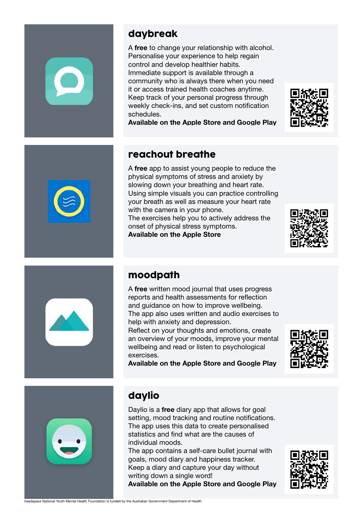#### daybreak

A free to change your relationship with alcohol. Personalise your experience to help regain control and develop healthier habits. Immediate support is available through a community who is always there when you need it or access trained health coaches anytime. Keep track of your personal progress through weekly check-ins, and set custom notification schedules.



#### reachout breathe

A free app to assist young people to reduce the physical symptoms of stress and anxiety by slowing down your breathing and heart rate. Using simple visuals you can practice controlling your breath as well as measure your heart rate with the camera in your phone. The exercises help you to actively address the onset of physical stress symptoms.







#### moodpath

A free written mood journal that uses progress reports and health assessments for reflection and guidance on how to improve wellbeing. The app also uses written and audio exercises to help with anxiety and depression.

Reflect on your thoughts and emotions, create an overview of your moods, improve your mental wellbeing and read or listen to psychological exercises.

Available on the Apple Store and Google Play





## daylio

Daylio is a free diary app that allows for goal setting, mood tracking and routine notifications. The app uses this data to create personalised statistics and find what are the causes of individual moods.

The app contains a self-care bullet journal with goals, mood diary and happiness tracker. Keep a diary and capture your day without writing down a single word!

Available on the Apple Store and Google Play